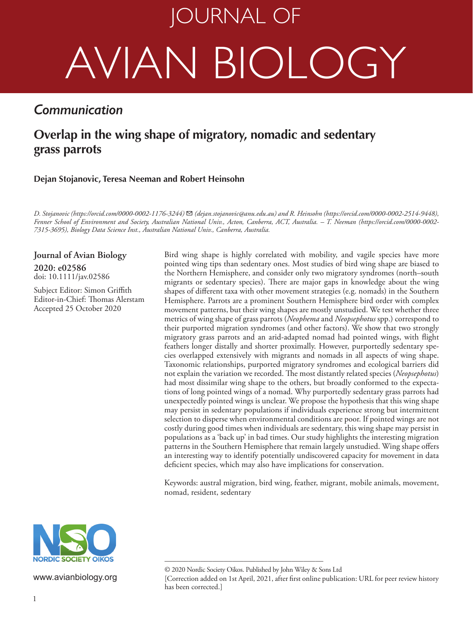# JOURNAL OF AVIAN BIOLOGY

# *Communication*

# **Overlap in the wing shape of migratory, nomadic and sedentary grass parrots**

# **Dejan Stojanovic, Teresa Neeman and Robert Heinsohn**

*D. Stojanovic (https://orcid.com/0000-0002-1176-3244)* ✉ *(dejan.stojanovic@anu.edu.au) and R. Heinsohn (https://orcid.com/0000-0002-2514-9448), Fenner School of Environment and Society, Australian National Univ., Acton, Canberra, ACT, Australia. – T. Neeman (https://orcid.com/0000-0002- 7315-3695), Biology Data Science Inst., Australian National Univ., Canberra, Australia.*

# **00: 1–8, 2020 2020: e02586** [doi: 10.1111/jav.02586](http://dx.doi.org/10.1111/jav.02586) **Journal of Avian Biology**

Subject Editor: Simon Griffith Editor-in-Chief: Thomas Alerstam Accepted 25 October 2020

Bird wing shape is highly correlated with mobility, and vagile species have more pointed wing tips than sedentary ones. Most studies of bird wing shape are biased to the Northern Hemisphere, and consider only two migratory syndromes (north–south migrants or sedentary species). There are major gaps in knowledge about the wing shapes of different taxa with other movement strategies (e.g. nomads) in the Southern Hemisphere. Parrots are a prominent Southern Hemisphere bird order with complex movement patterns, but their wing shapes are mostly unstudied. We test whether three metrics of wing shape of grass parrots (*Neophema* and *Neopsephotus* spp.) correspond to their purported migration syndromes (and other factors). We show that two strongly migratory grass parrots and an arid-adapted nomad had pointed wings, with flight feathers longer distally and shorter proximally. However, purportedly sedentary species overlapped extensively with migrants and nomads in all aspects of wing shape. Taxonomic relationships, purported migratory syndromes and ecological barriers did not explain the variation we recorded. The most distantly related species (*Neopsephotus*) had most dissimilar wing shape to the others, but broadly conformed to the expectations of long pointed wings of a nomad. Why purportedly sedentary grass parrots had unexpectedly pointed wings is unclear. We propose the hypothesis that this wing shape may persist in sedentary populations if individuals experience strong but intermittent selection to disperse when environmental conditions are poor. If pointed wings are not costly during good times when individuals are sedentary, this wing shape may persist in populations as a 'back up' in bad times. Our study highlights the interesting migration patterns in the Southern Hemisphere that remain largely unstudied. Wing shape offers an interesting way to identify potentially undiscovered capacity for movement in data deficient species, which may also have implications for conservation.

Keywords: austral migration, bird wing, feather, migrant, mobile animals, movement, nomad, resident, sedentary



www.avianbiology.org

<sup>––––––––––––––––––––––––––––––––––––––––</sup> © 2020 Nordic Society Oikos. Published by John Wiley & Sons Ltd [Correction added on 1st April, 2021, after first online publication: URL for peer review history has been corrected.]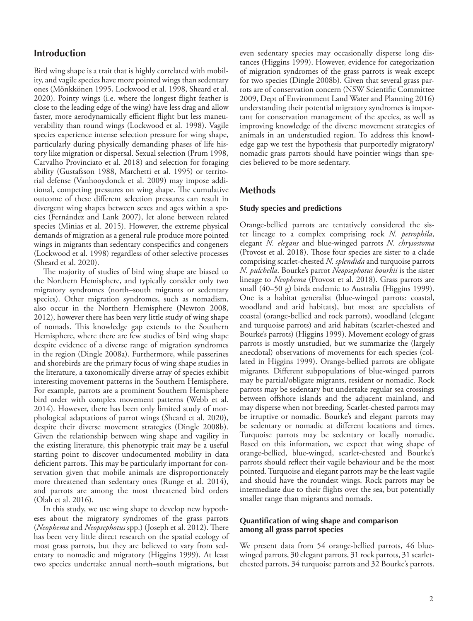# **Introduction**

Bird wing shape is a trait that is highly correlated with mobility, and vagile species have more pointed wings than sedentary ones (Mönkkönen 1995, Lockwood et al. 1998, Sheard et al. 2020). Pointy wings (i.e. where the longest flight feather is close to the leading edge of the wing) have less drag and allow faster, more aerodynamically efficient flight but less maneuverability than round wings (Lockwood et al. 1998). Vagile species experience intense selection pressure for wing shape, particularly during physically demanding phases of life history like migration or dispersal. Sexual selection (Prum 1998, Carvalho Provinciato et al. 2018) and selection for foraging ability (Gustafsson 1988, Marchetti et al. 1995) or territorial defense (Vanhooydonck et al. 2009) may impose additional, competing pressures on wing shape. The cumulative outcome of these different selection pressures can result in divergent wing shapes between sexes and ages within a species (Fernández and Lank 2007), let alone between related species (Minias et al. 2015). However, the extreme physical demands of migration as a general rule produce more pointed wings in migrants than sedentary conspecifics and congeners (Lockwood et al. 1998) regardless of other selective processes (Sheard et al. 2020).

The majority of studies of bird wing shape are biased to the Northern Hemisphere, and typically consider only two migratory syndromes (north–south migrants or sedentary species). Other migration syndromes, such as nomadism, also occur in the Northern Hemisphere (Newton 2008, 2012), however there has been very little study of wing shape of nomads. This knowledge gap extends to the Southern Hemisphere, where there are few studies of bird wing shape despite evidence of a diverse range of migration syndromes in the region (Dingle 2008a). Furthermore, while passerines and shorebirds are the primary focus of wing shape studies in the literature, a taxonomically diverse array of species exhibit interesting movement patterns in the Southern Hemisphere. For example, parrots are a prominent Southern Hemisphere bird order with complex movement patterns (Webb et al. 2014). However, there has been only limited study of morphological adaptations of parrot wings (Sheard et al. 2020), despite their diverse movement strategies (Dingle 2008b). Given the relationship between wing shape and vagility in the existing literature, this phenotypic trait may be a useful starting point to discover undocumented mobility in data deficient parrots. This may be particularly important for conservation given that mobile animals are disproportionately more threatened than sedentary ones (Runge et al. 2014), and parrots are among the most threatened bird orders (Olah et al. 2016).

In this study, we use wing shape to develop new hypotheses about the migratory syndromes of the grass parrots (*Neophema* and *Neopsephotus* spp.) (Joseph et al. 2012). There has been very little direct research on the spatial ecology of most grass parrots, but they are believed to vary from sedentary to nomadic and migratory (Higgins 1999). At least two species undertake annual north–south migrations, but

even sedentary species may occasionally disperse long distances (Higgins 1999). However, evidence for categorization of migration syndromes of the grass parrots is weak except for two species (Dingle 2008b). Given that several grass parrots are of conservation concern (NSW Scientific Committee 2009, Dept of Environment Land Water and Planning 2016) understanding their potential migratory syndromes is important for conservation management of the species, as well as improving knowledge of the diverse movement strategies of animals in an understudied region. To address this knowledge gap we test the hypothesis that purportedly migratory/ nomadic grass parrots should have pointier wings than species believed to be more sedentary.

# **Methods**

#### **Study species and predictions**

Orange-bellied parrots are tentatively considered the sister lineage to a complex comprising rock *N. petrophila*, elegant *N. elegans* and blue-winged parrots *N. chrysostoma* (Provost et al. 2018). Those four species are sister to a clade comprising scarlet-chested *N. splendida* and turquoise parrots *N. pulchella*. Bourke's parrot *Neopsephotus bourkii* is the sister lineage to *Neophema* (Provost et al. 2018). Grass parrots are small (40–50 g) birds endemic to Australia (Higgins 1999). One is a habitat generalist (blue-winged parrots: coastal, woodland and arid habitats), but most are specialists of coastal (orange-bellied and rock parrots), woodland (elegant and turquoise parrots) and arid habitats (scarlet-chested and Bourke's parrots) (Higgins 1999). Movement ecology of grass parrots is mostly unstudied, but we summarize the (largely anecdotal) observations of movements for each species (collated in Higgins 1999). Orange-bellied parrots are obligate migrants. Different subpopulations of blue-winged parrots may be partial/obligate migrants, resident or nomadic. Rock parrots may be sedentary but undertake regular sea crossings between offshore islands and the adjacent mainland, and may disperse when not breeding. Scarlet-chested parrots may be irruptive or nomadic. Bourke's and elegant parrots may be sedentary or nomadic at different locations and times. Turquoise parrots may be sedentary or locally nomadic. Based on this information, we expect that wing shape of orange-bellied, blue-winged, scarlet-chested and Bourke's parrots should reflect their vagile behaviour and be the most pointed. Turquoise and elegant parrots may be the least vagile and should have the roundest wings. Rock parrots may be intermediate due to their flights over the sea, but potentially smaller range than migrants and nomads.

#### **Quantification of wing shape and comparison among all grass parrot species**

We present data from 54 orange-bellied parrots, 46 bluewinged parrots, 30 elegant parrots, 31 rock parrots, 31 scarletchested parrots, 34 turquoise parrots and 32 Bourke's parrots.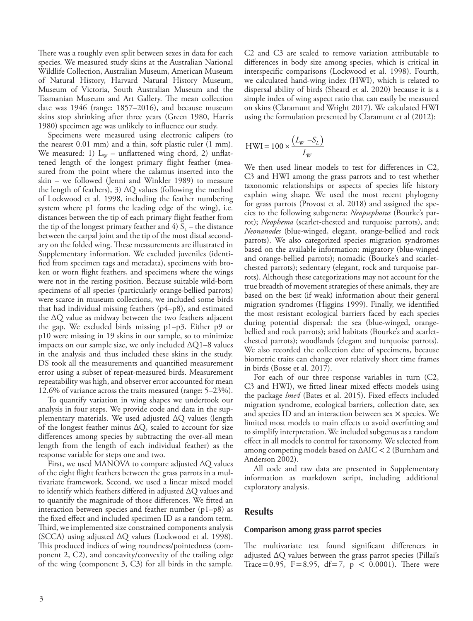There was a roughly even split between sexes in data for each species. We measured study skins at the Australian National Wildlife Collection, Australian Museum, American Museum of Natural History, Harvard Natural History Museum, Museum of Victoria, South Australian Museum and the Tasmanian Museum and Art Gallery. The mean collection date was 1946 (range: 1857–2016), and because museum skins stop shrinking after three years (Green 1980, Harris 1980) specimen age was unlikely to influence our study.

Specimens were measured using electronic calipers (to the nearest 0.01 mm) and a thin, soft plastic ruler (1 mm). We measured: 1)  $L_W$  – unflattened wing chord, 2) unflattened length of the longest primary flight feather (measured from the point where the calamus inserted into the skin – we followed (Jenni and Winkler 1989) to measure the length of feathers), 3)  $\Delta Q$  values (following the method of Lockwood et al. 1998, including the feather numbering system where p1 forms the leading edge of the wing), i.e. distances between the tip of each primary flight feather from the tip of the longest primary feather and 4)  $\bar{S}_L$  – the distance between the carpal joint and the tip of the most distal secondary on the folded wing. These measurements are illustrated in Supplementary information. We excluded juveniles (identified from specimen tags and metadata), specimens with broken or worn flight feathers, and specimens where the wings were not in the resting position. Because suitable wild-born specimens of all species (particularly orange-bellied parrots) were scarce in museum collections, we included some birds that had individual missing feathers (p4–p8), and estimated the ΔQ value as midway between the two feathers adjacent the gap. We excluded birds missing p1–p3. Either p9 or p10 were missing in 19 skins in our sample, so to minimize impacts on our sample size, we only included  $\Delta Q1-8$  values in the analysis and thus included these skins in the study. DS took all the measurements and quantified measurement error using a subset of repeat-measured birds. Measurement repeatability was high, and observer error accounted for mean 12.6% of variance across the traits measured (range: 5–23%).

To quantify variation in wing shapes we undertook our analysis in four steps. We provide code and data in the supplementary materials. We used adjusted ΔQ values (length of the longest feather minus  $\Delta Q$ , scaled to account for size differences among species by subtracting the over-all mean length from the length of each individual feather) as the response variable for steps one and two.

First, we used MANOVA to compare adjusted  $\Delta Q$  values of the eight flight feathers between the grass parrots in a multivariate framework. Second, we used a linear mixed model to identify which feathers differed in adjusted ΔQ values and to quantify the magnitude of those differences. We fitted an interaction between species and feather number (p1–p8) as the fixed effect and included specimen ID as a random term. Third, we implemented size constrained components analysis (SCCA) using adjusted ΔQ values (Lockwood et al. 1998). This produced indices of wing roundness/pointedness (component 2, C2), and concavity/convexity of the trailing edge of the wing (component 3, C3) for all birds in the sample. C2 and C3 are scaled to remove variation attributable to differences in body size among species, which is critical in interspecific comparisons (Lockwood et al. 1998). Fourth, we calculated hand-wing index (HWI), which is related to dispersal ability of birds (Sheard et al. 2020) because it is a simple index of wing aspect ratio that can easily be measured on skins (Claramunt and Wright 2017). We calculated HWI using the formulation presented by Claramunt et al (2012):

$$
HWI = 100 \times \frac{\left(L_W - S_L\right)}{L_W}
$$

We then used linear models to test for differences in C2, C3 and HWI among the grass parrots and to test whether taxonomic relationships or aspects of species life history explain wing shape. We used the most recent phylogeny for grass parrots (Provost et al. 2018) and assigned the species to the following subgenera: *Neopsephotus* (Bourke's parrot); *Neophema* (scarlet-chested and turquoise parrots), and; *Neonanodes* (blue-winged, elegant, orange-bellied and rock parrots). We also categorized species migration syndromes based on the available information: migratory (blue-winged and orange-bellied parrots); nomadic (Bourke's and scarletchested parrots); sedentary (elegant, rock and turquoise parrots). Although these categorizations may not account for the true breadth of movement strategies of these animals, they are based on the best (if weak) information about their general migration syndromes (Higgins 1999). Finally, we identified the most resistant ecological barriers faced by each species during potential dispersal: the sea (blue-winged, orangebellied and rock parrots); arid habitats (Bourke's and scarletchested parrots); woodlands (elegant and turquoise parrots). We also recorded the collection date of specimens, because biometric traits can change over relatively short time frames in birds (Bosse et al. 2017).

For each of our three response variables in turn (C2, C3 and HWI), we fitted linear mixed effects models using the package *lme4* (Bates et al. 2015). Fixed effects included migration syndrome, ecological barriers, collection date, sex and species ID and an interaction between sex  $\times$  species. We limited most models to main effects to avoid overfitting and to simplify interpretation. We included subgenus as a random effect in all models to control for taxonomy. We selected from among competing models based on ΔAIC < 2 (Burnham and Anderson 2002).

All code and raw data are presented in Supplementary information as markdown script, including additional exploratory analysis.

# **Results**

#### **Comparison among grass parrot species**

The multivariate test found significant differences in adjusted ΔQ values between the grass parrot species (Pillai's Trace=0.95, F=8.95, df=7,  $p$  < 0.0001). There were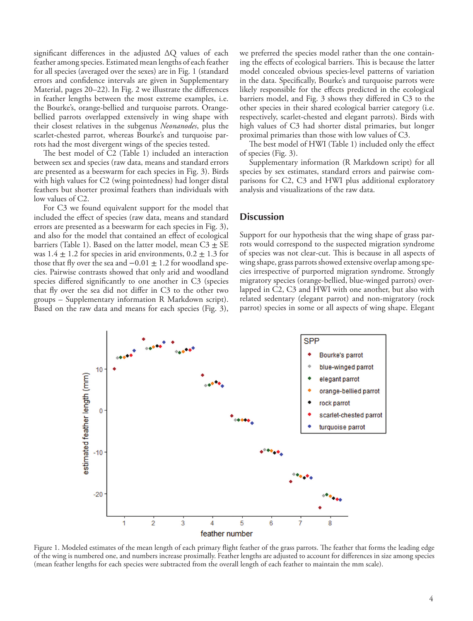significant differences in the adjusted ΔQ values of each feather among species. Estimated mean lengths of each feather for all species (averaged over the sexes) are in Fig. 1 (standard errors and confidence intervals are given in Supplementary Material, pages 20–22). In Fig. 2 we illustrate the differences in feather lengths between the most extreme examples, i.e. the Bourke's, orange-bellied and turquoise parrots. Orangebellied parrots overlapped extensively in wing shape with their closest relatives in the subgenus *Neonanodes*, plus the scarlet-chested parrot, whereas Bourke's and turquoise parrots had the most divergent wings of the species tested.

The best model of C2 (Table 1) included an interaction between sex and species (raw data, means and standard errors are presented as a beeswarm for each species in Fig. 3). Birds with high values for C2 (wing pointedness) had longer distal feathers but shorter proximal feathers than individuals with low values of C2.

For C3 we found equivalent support for the model that included the effect of species (raw data, means and standard errors are presented as a beeswarm for each species in Fig. 3), and also for the model that contained an effect of ecological barriers (Table 1). Based on the latter model, mean  $C3 \pm SE$ was  $1.4 \pm 1.2$  for species in arid environments,  $0.2 \pm 1.3$  for those that fly over the sea and  $-0.01 \pm 1.2$  for woodland species. Pairwise contrasts showed that only arid and woodland species differed significantly to one another in C3 (species that fly over the sea did not differ in C3 to the other two groups – Supplementary information R Markdown script). Based on the raw data and means for each species (Fig. 3),

we preferred the species model rather than the one containing the effects of ecological barriers. This is because the latter model concealed obvious species-level patterns of variation in the data. Specifically, Bourke's and turquoise parrots were likely responsible for the effects predicted in the ecological barriers model, and Fig. 3 shows they differed in C3 to the other species in their shared ecological barrier category (i.e. respectively, scarlet-chested and elegant parrots). Birds with high values of C3 had shorter distal primaries, but longer proximal primaries than those with low values of C3.

The best model of HWI (Table 1) included only the effect of species (Fig. 3).

Supplementary information (R Markdown script) for all species by sex estimates, standard errors and pairwise comparisons for C2, C3 and HWI plus additional exploratory analysis and visualizations of the raw data.

#### **Discussion**

Support for our hypothesis that the wing shape of grass parrots would correspond to the suspected migration syndrome of species was not clear-cut. This is because in all aspects of wing shape, grass parrots showed extensive overlap among species irrespective of purported migration syndrome. Strongly migratory species (orange-bellied, blue-winged parrots) overlapped in C2, C3 and HWI with one another, but also with related sedentary (elegant parrot) and non-migratory (rock parrot) species in some or all aspects of wing shape. Elegant



Figure 1. Modeled estimates of the mean length of each primary flight feather of the grass parrots. The feather that forms the leading edge of the wing is numbered one, and numbers increase proximally. Feather lengths are adjusted to account for differences in size among species (mean feather lengths for each species were subtracted from the overall length of each feather to maintain the mm scale).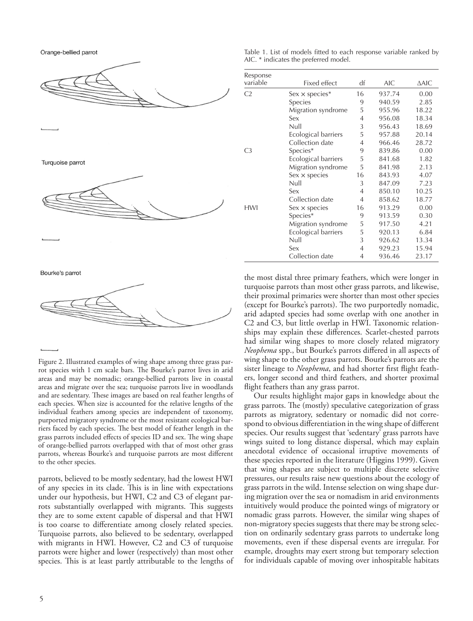Orange-bellied parrot



Figure 2. Illustrated examples of wing shape among three grass parrot species with 1 cm scale bars. The Bourke's parrot lives in arid areas and may be nomadic; orange-bellied parrots live in coastal areas and migrate over the sea; turquoise parrots live in woodlands and are sedentary. These images are based on real feather lengths of each species. When size is accounted for the relative lengths of the individual feathers among species are independent of taxonomy, purported migratory syndrome or the most resistant ecological barriers faced by each species. The best model of feather length in the grass parrots included effects of species ID and sex. The wing shape of orange-bellied parrots overlapped with that of most other grass parrots, whereas Bourke's and turquoise parrots are most different to the other species.

parrots, believed to be mostly sedentary, had the lowest HWI of any species in its clade. This is in line with expectations under our hypothesis, but HWI, C2 and C3 of elegant parrots substantially overlapped with migrants. This suggests they are to some extent capable of dispersal and that HWI is too coarse to differentiate among closely related species. Turquoise parrots, also believed to be sedentary, overlapped with migrants in HWI. However, C2 and C3 of turquoise parrots were higher and lower (respectively) than most other species. This is at least partly attributable to the lengths of

Table 1. List of models fitted to each response variable ranked by AIC. \* indicates the preferred model.

| Response   |                       |    |        |       |
|------------|-----------------------|----|--------|-------|
| variable   | Fixed effect          | df | AIC    | ∆AIC  |
| C2         | Sex $\times$ species* | 16 | 937.74 | 0.00  |
|            | Species               | 9  | 940.59 | 2.85  |
|            | Migration syndrome    | 5  | 955.96 | 18.22 |
|            | Sex                   | 4  | 956.08 | 18.34 |
|            | Null                  | 3  | 956.43 | 18.69 |
|            | Ecological barriers   | 5  | 957.88 | 20.14 |
|            | Collection date       | 4  | 966.46 | 28.72 |
| C3         | Species*              | 9  | 839.86 | 0.00  |
|            | Ecological barriers   | 5  | 841.68 | 1.82  |
|            | Migration syndrome    | 5  | 841.98 | 2.13  |
|            | $Sex \times species$  | 16 | 843.93 | 4.07  |
|            | Null                  | 3  | 847.09 | 7.23  |
|            | Sex                   | 4  | 850.10 | 10.25 |
|            | Collection date       | 4  | 858.62 | 18.77 |
| <b>HWI</b> | $Sex \times species$  | 16 | 913.29 | 0.00  |
|            | Species*              | 9  | 913.59 | 0.30  |
|            | Migration syndrome    | 5  | 917.50 | 4.21  |
|            | Ecological barriers   | 5  | 920.13 | 6.84  |
|            | Null                  | 3  | 926.62 | 13.34 |
|            | Sex                   | 4  | 929.23 | 15.94 |
|            | Collection date       | 4  | 936.46 | 23.17 |

the most distal three primary feathers, which were longer in turquoise parrots than most other grass parrots, and likewise, their proximal primaries were shorter than most other species (except for Bourke's parrots). The two purportedly nomadic, arid adapted species had some overlap with one another in C2 and C3, but little overlap in HWI. Taxonomic relationships may explain these differences. Scarlet-chested parrots had similar wing shapes to more closely related migratory *Neophema* spp., but Bourke's parrots differed in all aspects of wing shape to the other grass parrots. Bourke's parrots are the sister lineage to *Neophema*, and had shorter first flight feathers, longer second and third feathers, and shorter proximal flight feathers than any grass parrot.

Our results highlight major gaps in knowledge about the grass parrots. The (mostly) speculative categorization of grass parrots as migratory, sedentary or nomadic did not correspond to obvious differentiation in the wing shape of different species. Our results suggest that 'sedentary' grass parrots have wings suited to long distance dispersal, which may explain anecdotal evidence of occasional irruptive movements of these species reported in the literature (Higgins 1999). Given that wing shapes are subject to multiple discrete selective pressures, our results raise new questions about the ecology of grass parrots in the wild. Intense selection on wing shape during migration over the sea or nomadism in arid environments intuitively would produce the pointed wings of migratory or nomadic grass parrots. However, the similar wing shapes of non-migratory species suggests that there may be strong selection on ordinarily sedentary grass parrots to undertake long movements, even if these dispersal events are irregular. For example, droughts may exert strong but temporary selection for individuals capable of moving over inhospitable habitats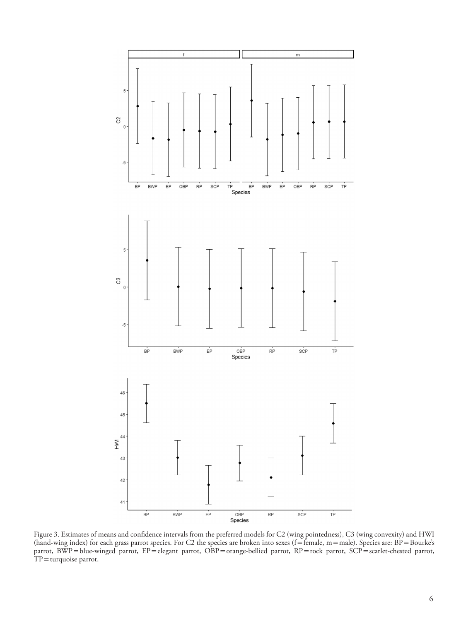

Figure 3. Estimates of means and confidence intervals from the preferred models for C2 (wing pointedness), C3 (wing convexity) and HWI (hand-wing index) for each grass parrot species. For C2 the species are broken into sexes (f=female, m=male). Species are:  $BP = Bourke's$ parrot, BWP=blue-winged parrot, EP=elegant parrot, OBP=orange-bellied parrot, RP=rock parrot, SCP=scarlet-chested parrot, TP=turquoise parrot.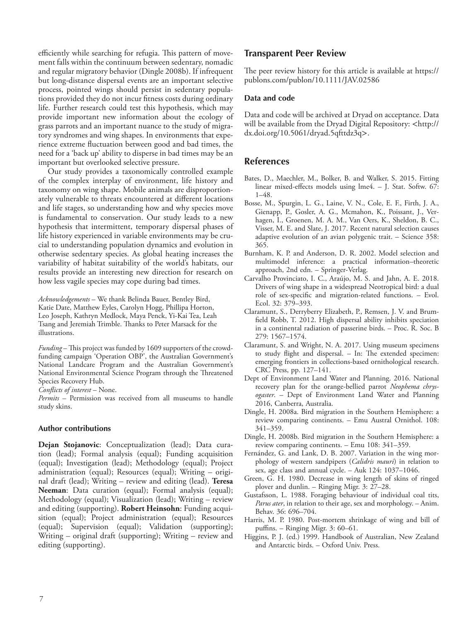efficiently while searching for refugia. This pattern of movement falls within the continuum between sedentary, nomadic and regular migratory behavior (Dingle 2008b). If infrequent but long-distance dispersal events are an important selective process, pointed wings should persist in sedentary populations provided they do not incur fitness costs during ordinary life. Further research could test this hypothesis, which may provide important new information about the ecology of grass parrots and an important nuance to the study of migratory syndromes and wing shapes. In environments that experience extreme fluctuation between good and bad times, the need for a 'back up' ability to disperse in bad times may be an important but overlooked selective pressure.

Our study provides a taxonomically controlled example of the complex interplay of environment, life history and taxonomy on wing shape. Mobile animals are disproportionately vulnerable to threats encountered at different locations and life stages, so understanding how and why species move is fundamental to conservation. Our study leads to a new hypothesis that intermittent, temporary dispersal phases of life history experienced in variable environments may be crucial to understanding population dynamics and evolution in otherwise sedentary species. As global heating increases the variability of habitat suitability of the world's habitats, our results provide an interesting new direction for research on how less vagile species may cope during bad times.

*Acknowledgements* – We thank Belinda Bauer, Bentley Bird, Katie Date, Matthew Eyles, Carolyn Hogg, Phillipa Horton, Leo Joseph, Kathryn Medlock, Maya Penck, Yi-Kai Tea, Leah Tsang and Jeremiah Trimble. Thanks to Peter Marsack for the illustrations.

*Funding* – This project was funded by 1609 supporters of the crowdfunding campaign 'Operation OBP', the Australian Government's National Landcare Program and the Australian Government's National Environmental Science Program through the Threatened Species Recovery Hub.

*Conflicts of interest* – None.

*Permits* – Permission was received from all museums to handle study skins.

#### **Author contributions**

**Dejan Stojanovic**: Conceptualization (lead); Data curation (lead); Formal analysis (equal); Funding acquisition (equal); Investigation (lead); Methodology (equal); Project administration (equal); Resources (equal); Writing – original draft (lead); Writing – review and editing (lead). **Teresa Neeman**: Data curation (equal); Formal analysis (equal); Methodology (equal); Visualization (lead); Writing – review and editing (supporting). **Robert Heinsohn**: Funding acquisition (equal); Project administration (equal); Resources (equal); Supervision (equal); Validation (supporting); Writing – original draft (supporting); Writing – review and editing (supporting).

# **Transparent Peer Review**

The peer review history for this article is available at https:// publons.com/publon/10.1111/JAV.02586

#### **Data and code**

Data and code will be archived at Dryad on acceptance. Data will be available from the Dryad Digital Repository: <http:// dx.doi.org/10.5061/dryad.5qfttdz3q>.

### **References**

- Bates, D., Maechler, M., Bolker, B. and Walker, S. 2015. Fitting linear mixed-effects models using lme4. – J. Stat. Softw. 67: 1–48.
- Bosse, M., Spurgin, L. G., Laine, V. N., Cole, E. F., Firth, J. A., Gienapp, P., Gosler, A. G., Mcmahon, K., Poissant, J., Verhagen, I., Groenen, M. A. M., Van Oers, K., Sheldon, B. C., Visser, M. E. and Slate, J. 2017. Recent natural selection causes adaptive evolution of an avian polygenic trait. – Science 358: 365.
- Burnham, K. P. and Anderson, D. R. 2002. Model selection and multimodel inference: a practical information–theoretic approach, 2nd edn. – Springer-Verlag.
- Carvalho Provinciato, I. C., Araújo, M. S. and Jahn, A. E. 2018. Drivers of wing shape in a widespread Neotropical bird: a dual role of sex-specific and migration-related functions. – Evol. Ecol. 32: 379–393.
- Claramunt, S., Derryberry Elizabeth, P., Remsen, J. V. and Brumfield Robb, T. 2012. High dispersal ability inhibits speciation in a continental radiation of passerine birds. – Proc. R. Soc. B 279: 1567–1574.
- Claramunt, S. and Wright, N. A. 2017. Using museum specimens to study flight and dispersal. – In: The extended specimen: emerging frontiers in collections-based ornithological research. CRC Press, pp. 127–141.
- Dept of Environment Land Water and Planning. 2016. National recovery plan for the orange-bellied parrot *Neophema chrysogaster*. – Dept of Environment Land Water and Planning 2016, Canberra, Australia.
- Dingle, H. 2008a. Bird migration in the Southern Hemisphere: a review comparing continents. – Emu Austral Ornithol. 108: 341–359.
- Dingle, H. 2008b. Bird migration in the Southern Hemisphere: a review comparing continents. – Emu 108: 341–359.
- Fernández, G. and Lank, D. B. 2007. Variation in the wing morphology of western sandpipers (*Calidris mauri*) in relation to sex, age class and annual cycle. – Auk 124: 1037–1046.
- Green, G. H. 1980. Decrease in wing length of skins of ringed plover and dunlin. – Ringing Migr. 3: 27–28.
- Gustafsson, L. 1988. Foraging behaviour of individual coal tits, *Parus ater*, in relation to their age, sex and morphology. – Anim. Behav. 36: 696–704.
- Harris, M. P. 1980. Post-mortem shrinkage of wing and bill of puffins. – Ringing Migr. 3: 60–61.
- Higgins, P. J. (ed.) 1999. Handbook of Australian, New Zealand and Antarctic birds. – Oxford Univ. Press.